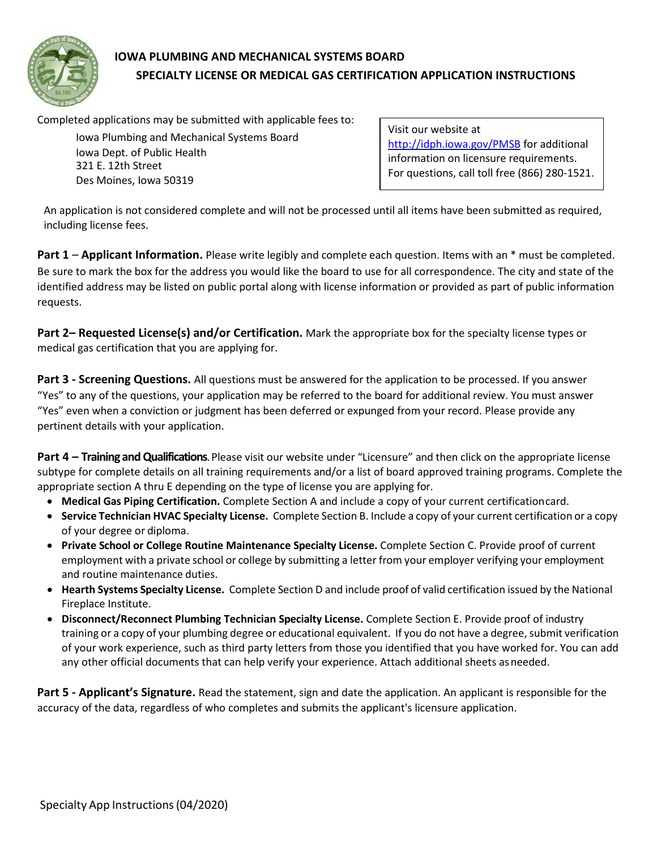

## **IOWA PLUMBING AND MECHANICAL SYSTEMS BOARD SPECIALTY LICENSE OR MEDICAL GAS CERTIFICATION APPLICATION INSTRUCTIONS**

Completed applications may be submitted with applicable fees to:

Iowa Plumbing and Mechanical Systems Board Iowa Dept. of Public Health 321 E. 12th Street Des Moines, Iowa 50319

Visit our website at <http://idph.iowa.gov/PMSB> for additional information on licensure requirements. For questions, call toll free (866) 280-1521.

An application is not considered complete and will not be processed until all items have been submitted as required, including license fees.

**Part 1** – **Applicant Information.** Please write legibly and complete each question. Items with an \* must be completed. Be sure to mark the box for the address you would like the board to use for all correspondence. The city and state of the identified address may be listed on public portal along with license information or provided as part of public information requests.

**Part 2– Requested License(s) and/or Certification.** Mark the appropriate box for the specialty license types or medical gas certification that you are applying for.

**Part 3 - Screening Questions.** All questions must be answered for the application to be processed. If you answer "Yes" to any of the questions, your application may be referred to the board for additional review. You must answer "Yes" even when a conviction or judgment has been deferred or expunged from your record. Please provide any pertinent details with your application.

**Part 4 – Training and Qualifications**. Please visit our website under "Licensure" and then click on the appropriate license subtype for complete details on all training requirements and/or a list of board approved training programs. Complete the appropriate section A thru E depending on the type of license you are applying for.

- **Medical Gas Piping Certification.** Complete Section A and include a copy of your current certificationcard.
- **Service Technician HVAC Specialty License.** Complete Section B. Include a copy of your current certification or a copy of your degree or diploma.
- **Private School or College Routine Maintenance Specialty License.** Complete Section C. Provide proof of current employment with a private school or college by submitting a letter from your employer verifying your employment and routine maintenance duties.
- **Hearth Systems Specialty License.** Complete Section D and include proof of valid certification issued by the National Fireplace Institute.
- **Disconnect/Reconnect Plumbing Technician Specialty License.** Complete Section E. Provide proof of industry training or a copy of your plumbing degree or educational equivalent. If you do not have a degree, submit verification of your work experience, such as third party letters from those you identified that you have worked for. You can add any other official documents that can help verify your experience. Attach additional sheets asneeded.

**Part 5 - Applicant's Signature.** Read the statement, sign and date the application. An applicant is responsible for the accuracy of the data, regardless of who completes and submits the applicant's licensure application.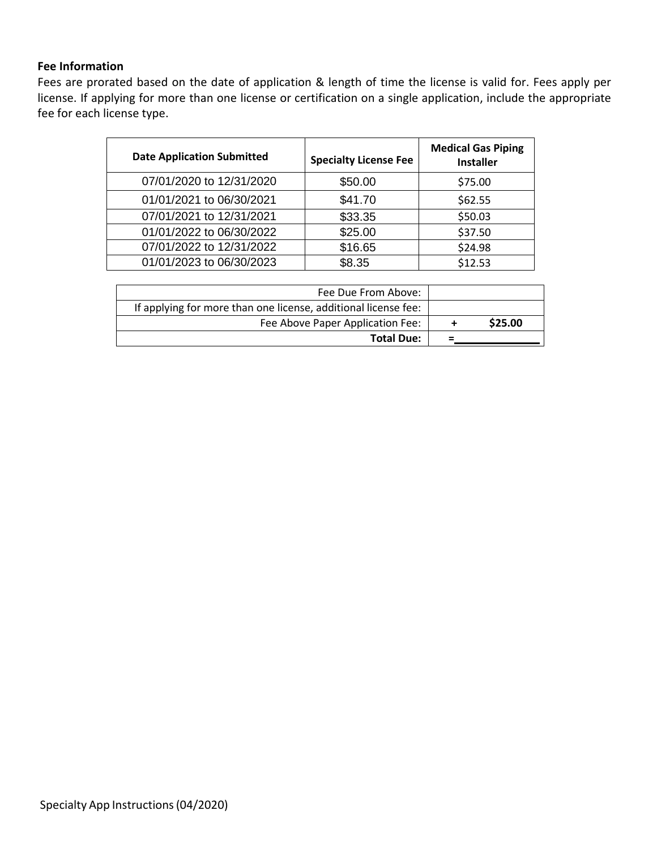#### **Fee Information**

Fees are prorated based on the date of application & length of time the license is valid for. Fees apply per license. If applying for more than one license or certification on a single application, include the appropriate fee for each license type.

| <b>Date Application Submitted</b> | <b>Specialty License Fee</b> | <b>Medical Gas Piping</b><br><b>Installer</b> |
|-----------------------------------|------------------------------|-----------------------------------------------|
| 07/01/2020 to 12/31/2020          | \$50.00                      | \$75.00                                       |
| 01/01/2021 to 06/30/2021          | \$41.70                      | \$62.55                                       |
| 07/01/2021 to 12/31/2021          | \$33.35                      | \$50.03                                       |
| 01/01/2022 to 06/30/2022          | \$25.00                      | \$37.50                                       |
| 07/01/2022 to 12/31/2022          | \$16.65                      | \$24.98                                       |
| 01/01/2023 to 06/30/2023          | \$8.35                       | \$12.53                                       |

| Fee Due From Above:                                            |          |         |
|----------------------------------------------------------------|----------|---------|
| If applying for more than one license, additional license fee: |          |         |
| Fee Above Paper Application Fee:                               |          | \$25.00 |
| <b>Total Due:</b>                                              | $\equiv$ |         |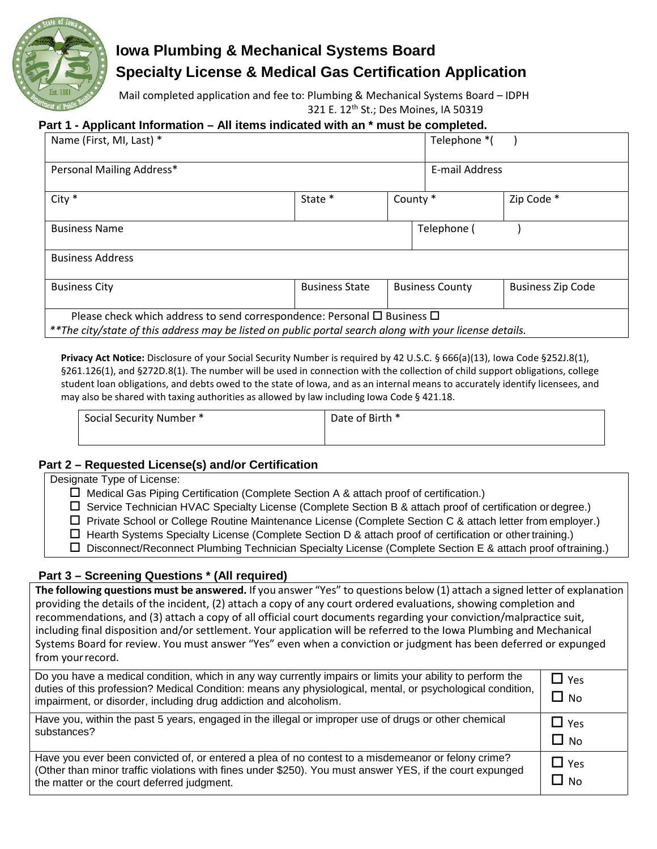

# **Iowa Plumbing & Mechanical Systems Board Specialty License & Medical Gas Certification Application**

Mail completed application and fee to: Plumbing & Mechanical Systems Board – IDPH 321 E. 12th St.; Des Moines, IA 50319

#### **Part 1 - Applicant Information – All items indicated with an \* must be completed.**

| Name (First, MI, Last) *                                                                                                                                                                      |                       |          | Telephone *(           |                          |
|-----------------------------------------------------------------------------------------------------------------------------------------------------------------------------------------------|-----------------------|----------|------------------------|--------------------------|
| Personal Mailing Address*                                                                                                                                                                     |                       |          | E-mail Address         |                          |
| $City *$                                                                                                                                                                                      | State *               | County * |                        | Zip Code *               |
| <b>Business Name</b>                                                                                                                                                                          |                       |          | Telephone (            |                          |
| <b>Business Address</b>                                                                                                                                                                       |                       |          |                        |                          |
| <b>Business City</b>                                                                                                                                                                          | <b>Business State</b> |          | <b>Business County</b> | <b>Business Zip Code</b> |
| Please check which address to send correspondence: Personal $\Box$ Business $\Box$<br>**The city/state of this address may be listed on public portal search along with your license details. |                       |          |                        |                          |

**Privacy Act Notice:** Disclosure of your Social Security Number is required by 42 U.S.C. § 666(a)(13), Iowa Code §252J.8(1), §261.126(1), and §272D.8(1). The number will be used in connection with the collection of child support obligations, college student loan obligations, and debts owed to the state of Iowa, and as an internal means to accurately identify licensees, and may also be shared with taxing authorities as allowed by law including Iowa Code § 421.18.

| Social Security Number * | Date of Birth * |
|--------------------------|-----------------|
|                          |                 |

#### **Part 2 – Requested License(s) and/or Certification**

| Designate Type of License:                                                                                      |
|-----------------------------------------------------------------------------------------------------------------|
| $\Box$ Medical Gas Piping Certification (Complete Section A & attach proof of certification.)                   |
| □ Service Technician HVAC Specialty License (Complete Section B & attach proof of certification or degree.)     |
| □ Private School or College Routine Maintenance License (Complete Section C & attach letter from employer.)     |
| $\Box$ Hearth Systems Specialty License (Complete Section D & attach proof of certification or other training.) |
| □ Disconnect/Reconnect Plumbing Technician Specialty License (Complete Section E & attach proof of training.)   |
|                                                                                                                 |
| Deal Organization Organizació (Allaceadoral)                                                                    |

### **Part 3 – Screening Questions \* (All required)**

**The following questions must be answered.** If you answer "Yes" to questions below (1) attach a signed letter of explanation providing the details of the incident, (2) attach a copy of any court ordered evaluations, showing completion and recommendations, and (3) attach a copy of all official court documents regarding your conviction/malpractice suit, including final disposition and/or settlement. Your application will be referred to the Iowa Plumbing and Mechanical Systems Board for review. You must answer "Yes" even when a conviction or judgment has been deferred or expunged from yourrecord.

| Do you have a medical condition, which in any way currently impairs or limits your ability to perform the<br>duties of this profession? Medical Condition: means any physiological, mental, or psychological condition,<br>impairment, or disorder, including drug addiction and alcoholism. | $\Box$ Yes<br>$\Box$ No |
|----------------------------------------------------------------------------------------------------------------------------------------------------------------------------------------------------------------------------------------------------------------------------------------------|-------------------------|
| Have you, within the past 5 years, engaged in the illegal or improper use of drugs or other chemical<br>substances?                                                                                                                                                                          | $\Box$ Yes<br>$\Box$ No |
| Have you ever been convicted of, or entered a plea of no contest to a misdemeanor or felony crime?<br>(Other than minor traffic violations with fines under \$250). You must answer YES, if the court expunged<br>the matter or the court deferred judgment.                                 | $\Box$ Yes<br>∐ No      |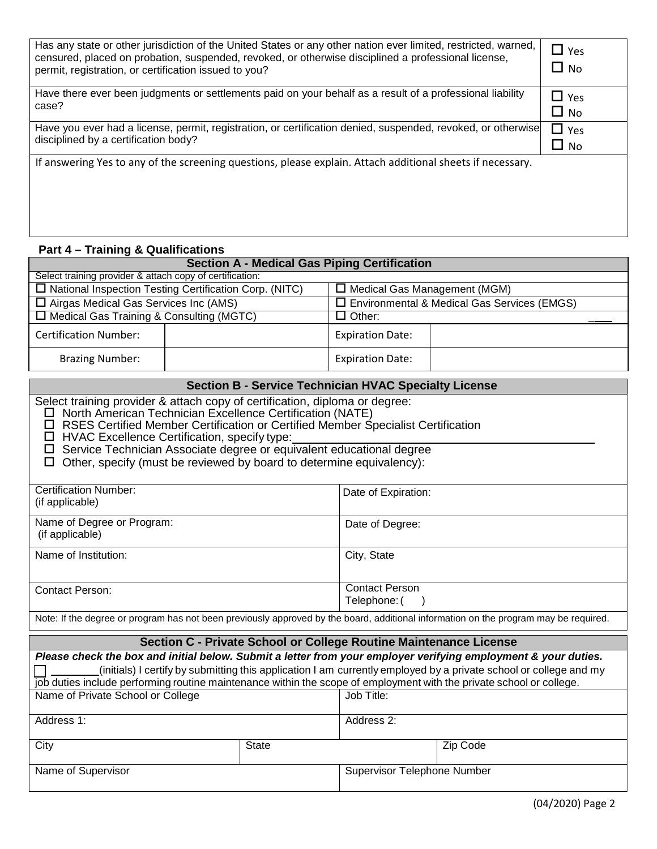| Has any state or other jurisdiction of the United States or any other nation ever limited, restricted, warned,<br>censured, placed on probation, suspended, revoked, or otherwise disciplined a professional license,<br>permit, registration, or certification issued to you? | $\Box$ Yes<br>$\Box$ No |
|--------------------------------------------------------------------------------------------------------------------------------------------------------------------------------------------------------------------------------------------------------------------------------|-------------------------|
| Have there ever been judgments or settlements paid on your behalf as a result of a professional liability<br>case?                                                                                                                                                             | $\Box$ Yes<br>$\Box$ No |
| Have you ever had a license, permit, registration, or certification denied, suspended, revoked, or otherwise<br>disciplined by a certification body?                                                                                                                           | $\Box$ Yes<br>$\Box$ No |
| If answering Yes to any of the screening questions, please explain. Attach additional sheets if necessary.                                                                                                                                                                     |                         |
| <b>Part 4 – Training &amp; Qualifications</b>                                                                                                                                                                                                                                  |                         |

| <b>Section A - Medical Gas Piping Certification</b>                                                                                                                                                                                                                                                                                                                                                                                              |                                                                                                                      |                         |                                                                                                                                                                                                                                     |
|--------------------------------------------------------------------------------------------------------------------------------------------------------------------------------------------------------------------------------------------------------------------------------------------------------------------------------------------------------------------------------------------------------------------------------------------------|----------------------------------------------------------------------------------------------------------------------|-------------------------|-------------------------------------------------------------------------------------------------------------------------------------------------------------------------------------------------------------------------------------|
| Select training provider & attach copy of certification:                                                                                                                                                                                                                                                                                                                                                                                         |                                                                                                                      |                         |                                                                                                                                                                                                                                     |
|                                                                                                                                                                                                                                                                                                                                                                                                                                                  | $\Box$ National Inspection Testing Certification Corp. (NITC)<br>$\Box$ Medical Gas Management (MGM)                 |                         |                                                                                                                                                                                                                                     |
| $\Box$ Airgas Medical Gas Services Inc (AMS)                                                                                                                                                                                                                                                                                                                                                                                                     |                                                                                                                      |                         | □ Environmental & Medical Gas Services (EMGS)                                                                                                                                                                                       |
| □ Medical Gas Training & Consulting (MGTC)                                                                                                                                                                                                                                                                                                                                                                                                       |                                                                                                                      | $\Box$ Other:           |                                                                                                                                                                                                                                     |
| <b>Certification Number:</b>                                                                                                                                                                                                                                                                                                                                                                                                                     |                                                                                                                      | <b>Expiration Date:</b> |                                                                                                                                                                                                                                     |
| <b>Brazing Number:</b>                                                                                                                                                                                                                                                                                                                                                                                                                           |                                                                                                                      | <b>Expiration Date:</b> |                                                                                                                                                                                                                                     |
| <b>Section B - Service Technician HVAC Specialty License</b>                                                                                                                                                                                                                                                                                                                                                                                     |                                                                                                                      |                         |                                                                                                                                                                                                                                     |
| Select training provider & attach copy of certification, diploma or degree:<br>North American Technician Excellence Certification (NATE)<br>RSES Certified Member Certification or Certified Member Specialist Certification<br>□<br>HVAC Excellence Certification, specify type:<br>ப<br>Service Technician Associate degree or equivalent educational degree<br>□<br>Other, specify (must be reviewed by board to determine equivalency):<br>□ |                                                                                                                      |                         |                                                                                                                                                                                                                                     |
| <b>Certification Number:</b><br>(if applicable)                                                                                                                                                                                                                                                                                                                                                                                                  |                                                                                                                      | Date of Expiration:     |                                                                                                                                                                                                                                     |
| Name of Degree or Program:<br>(if applicable)                                                                                                                                                                                                                                                                                                                                                                                                    |                                                                                                                      | Date of Degree:         |                                                                                                                                                                                                                                     |
| Name of Institution:                                                                                                                                                                                                                                                                                                                                                                                                                             |                                                                                                                      | City, State             |                                                                                                                                                                                                                                     |
| <b>Contact Person</b><br><b>Contact Person:</b><br>Telephone: (                                                                                                                                                                                                                                                                                                                                                                                  |                                                                                                                      |                         |                                                                                                                                                                                                                                     |
| Note: If the degree or program has not been previously approved by the board, additional information on the program may be required.                                                                                                                                                                                                                                                                                                             |                                                                                                                      |                         |                                                                                                                                                                                                                                     |
| Section C - Private School or College Routine Maintenance License                                                                                                                                                                                                                                                                                                                                                                                |                                                                                                                      |                         |                                                                                                                                                                                                                                     |
|                                                                                                                                                                                                                                                                                                                                                                                                                                                  | job duties include performing routine maintenance within the scope of employment with the private school or college. |                         | Please check the box and initial below. Submit a letter from your employer verifying employment & your duties.<br>(initials) I certify by submitting this application I am currently employed by a private school or college and my |
| Name of Private School or College                                                                                                                                                                                                                                                                                                                                                                                                                |                                                                                                                      | Job Title:              |                                                                                                                                                                                                                                     |

| . .                |              |                                    |          |
|--------------------|--------------|------------------------------------|----------|
| Address 1:         |              | Address 2:                         |          |
|                    |              |                                    |          |
| City               | <b>State</b> |                                    | Zip Code |
|                    |              |                                    |          |
| Name of Supervisor |              | <b>Supervisor Telephone Number</b> |          |
|                    |              |                                    |          |